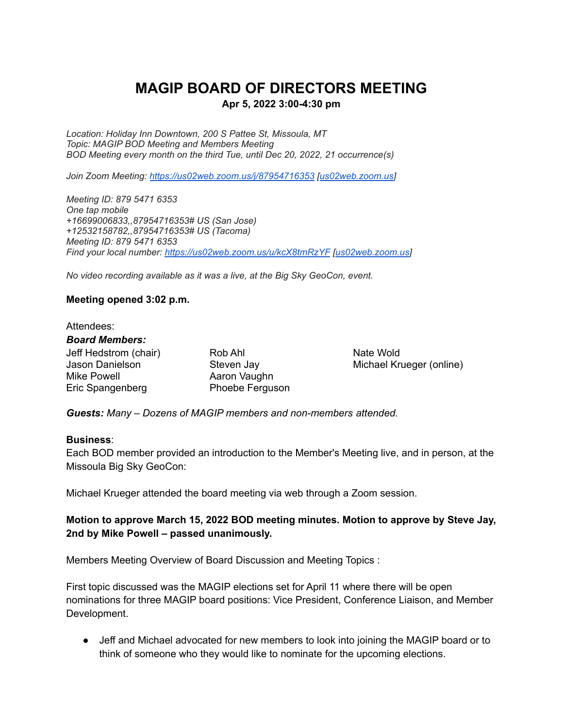# **MAGIP BOARD OF DIRECTORS MEETING**

#### **Apr 5, 2022 3:00-4:30 pm**

*Location: Holiday Inn Downtown, 200 S Pattee St, Missoula, MT Topic: MAGIP BOD Meeting and Members Meeting BOD Meeting every month on the third Tue, until Dec 20, 2022, 21 occurrence(s)*

*Join Zoom Meeting: <https://us02web.zoom.us/j/87954716353> [[us02web.zoom.us](http://us02web.zoom.us)]*

*Meeting ID: 879 5471 6353 One tap mobile +16699006833,,87954716353# US (San Jose) +12532158782,,87954716353# US (Tacoma) Meeting ID: 879 5471 6353 Find your local number: <https://us02web.zoom.us/u/kcX8tmRzYF> [[us02web.zoom.us](http://us02web.zoom.us)]*

*No video recording available as it was a live, at the Big Sky GeoCon, event.*

#### **Meeting opened 3:02 p.m.**

#### Attendees: *Board Members:*

Jeff Hedstrom (chair) Rob Ahl Nate Wold Mike Powell **Aaron Vaughn** Eric Spangenberg **Phoebe Ferguson** 

Jason Danielson Steven Jay Michael Krueger (online)

*Guests: Many – Dozens of MAGIP members and non-members attended.*

#### **Business**:

Each BOD member provided an introduction to the Member's Meeting live, and in person, at the Missoula Big Sky GeoCon:

Michael Krueger attended the board meeting via web through a Zoom session.

### **Motion to approve March 15, 2022 BOD meeting minutes. Motion to approve by Steve Jay, 2nd by Mike Powell – passed unanimously.**

Members Meeting Overview of Board Discussion and Meeting Topics :

First topic discussed was the MAGIP elections set for April 11 where there will be open nominations for three MAGIP board positions: Vice President, Conference Liaison, and Member Development.

• Jeff and Michael advocated for new members to look into joining the MAGIP board or to think of someone who they would like to nominate for the upcoming elections.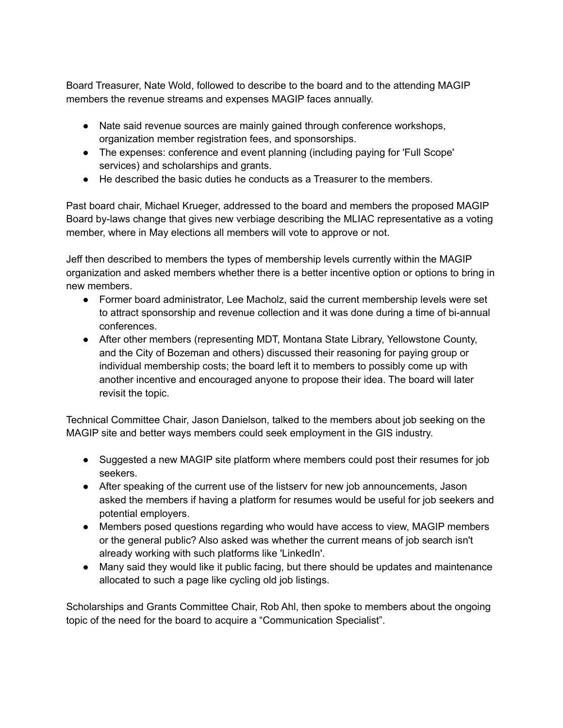Board Treasurer, Nate Wold, followed to describe to the board and to the attending MAGIP members the revenue streams and expenses MAGIP faces annually.

- Nate said revenue sources are mainly gained through conference workshops, organization member registration fees, and sponsorships.
- The expenses: conference and event planning (including paying for 'Full Scope' services) and scholarships and grants.
- He described the basic duties he conducts as a Treasurer to the members.

Past board chair, Michael Krueger, addressed to the board and members the proposed MAGIP Board by-laws change that gives new verbiage describing the MLIAC representative as a voting member, where in May elections all members will vote to approve or not.

Jeff then described to members the types of membership levels currently within the MAGIP organization and asked members whether there is a better incentive option or options to bring in new members.

- Former board administrator, Lee Macholz, said the current membership levels were set to attract sponsorship and revenue collection and it was done during a time of bi-annual conferences.
- After other members (representing MDT, Montana State Library, Yellowstone County, and the City of Bozeman and others) discussed their reasoning for paying group or individual membership costs; the board left it to members to possibly come up with another incentive and encouraged anyone to propose their idea. The board will later revisit the topic.

Technical Committee Chair, Jason Danielson, talked to the members about job seeking on the MAGIP site and better ways members could seek employment in the GIS industry.

- Suggested a new MAGIP site platform where members could post their resumes for job seekers.
- After speaking of the current use of the listserv for new job announcements, Jason asked the members if having a platform for resumes would be useful for job seekers and potential employers.
- Members posed questions regarding who would have access to view, MAGIP members or the general public? Also asked was whether the current means of job search isn't already working with such platforms like 'LinkedIn'.
- Many said they would like it public facing, but there should be updates and maintenance allocated to such a page like cycling old job listings.

Scholarships and Grants Committee Chair, Rob Ahl, then spoke to members about the ongoing topic of the need for the board to acquire a "Communication Specialist".